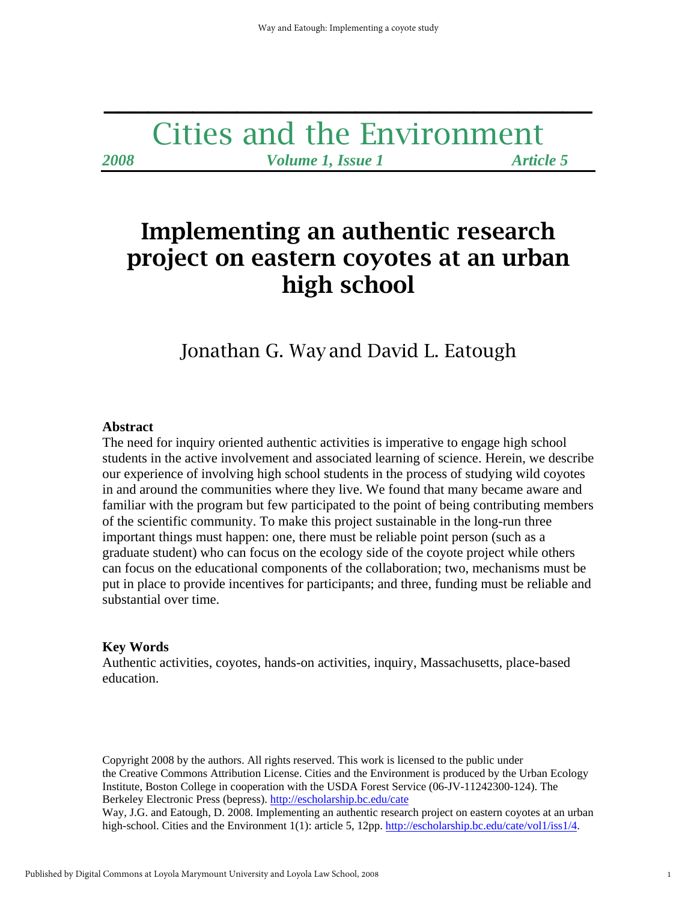## Cities and the Environment *2008 Volume 1, Issue 1 Article 5*

**\_\_\_\_\_\_\_\_\_\_\_\_\_\_\_\_\_\_\_\_\_\_\_\_\_\_\_\_\_\_\_\_\_** 

# Implementing an authentic research project on eastern coyotes at an urban high school

Jonathan G. Way and David L. Eatough

#### **Abstract**

The need for inquiry oriented authentic activities is imperative to engage high school students in the active involvement and associated learning of science. Herein, we describe our experience of involving high school students in the process of studying wild coyotes in and around the communities where they live. We found that many became aware and familiar with the program but few participated to the point of being contributing members of the scientific community. To make this project sustainable in the long-run three important things must happen: one, there must be reliable point person (such as a graduate student) who can focus on the ecology side of the coyote project while others can focus on the educational components of the collaboration; two, mechanisms must be put in place to provide incentives for participants; and three, funding must be reliable and substantial over time.

#### **Key Words**

Authentic activities, coyotes, hands-on activities, inquiry, Massachusetts, place-based education.

Copyright 2008 by the authors. All rights reserved. This work is licensed to the public under the Creative Commons Attribution License. Cities and the Environment is produced by the Urban Ecology Institute, Boston College in cooperation with the USDA Forest Service (06-JV-11242300-124). The Berkeley Electronic Press (bepress). http://escholarship.bc.edu/cate

Way, J.G. and Eatough, D. 2008. Implementing an authentic research project on eastern coyotes at an urban high-school. Cities and the Environment 1(1): article 5, 12pp. http://escholarship.bc.edu/cate/vol1/iss1/4.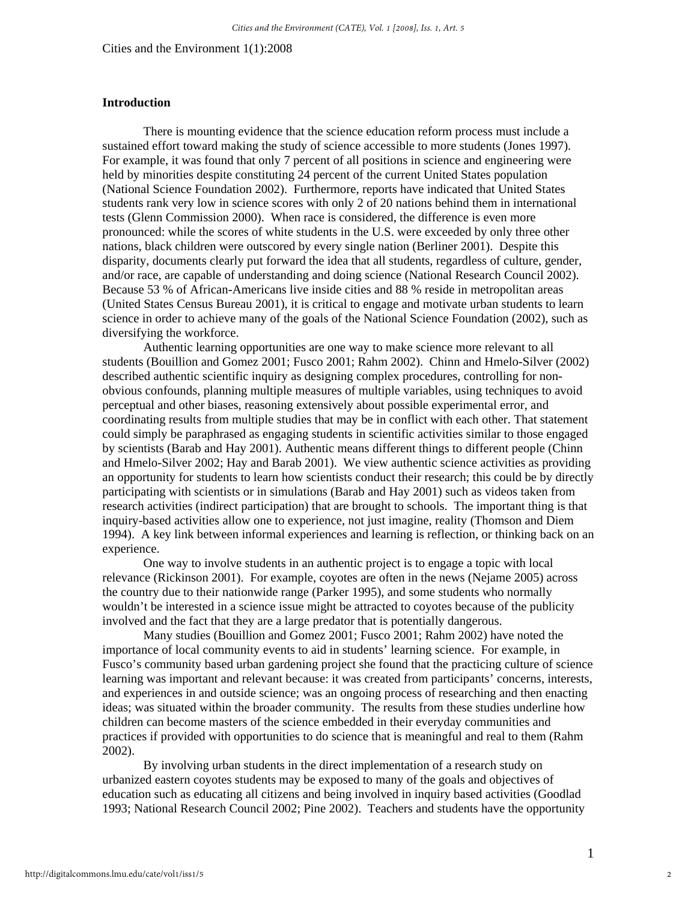### **Introduction**

There is mounting evidence that the science education reform process must include a sustained effort toward making the study of science accessible to more students (Jones 1997). For example, it was found that only 7 percent of all positions in science and engineering were held by minorities despite constituting 24 percent of the current United States population (National Science Foundation 2002). Furthermore, reports have indicated that United States students rank very low in science scores with only 2 of 20 nations behind them in international tests (Glenn Commission 2000). When race is considered, the difference is even more pronounced: while the scores of white students in the U.S. were exceeded by only three other nations, black children were outscored by every single nation (Berliner 2001). Despite this disparity, documents clearly put forward the idea that all students, regardless of culture, gender, and/or race, are capable of understanding and doing science (National Research Council 2002). Because 53 % of African-Americans live inside cities and 88 % reside in metropolitan areas (United States Census Bureau 2001), it is critical to engage and motivate urban students to learn science in order to achieve many of the goals of the National Science Foundation (2002), such as diversifying the workforce.

 Authentic learning opportunities are one way to make science more relevant to all students (Bouillion and Gomez 2001; Fusco 2001; Rahm 2002). Chinn and Hmelo-Silver (2002) described authentic scientific inquiry as designing complex procedures, controlling for nonobvious confounds, planning multiple measures of multiple variables, using techniques to avoid perceptual and other biases, reasoning extensively about possible experimental error, and coordinating results from multiple studies that may be in conflict with each other. That statement could simply be paraphrased as engaging students in scientific activities similar to those engaged by scientists (Barab and Hay 2001). Authentic means different things to different people (Chinn and Hmelo-Silver 2002; Hay and Barab 2001). We view authentic science activities as providing an opportunity for students to learn how scientists conduct their research; this could be by directly participating with scientists or in simulations (Barab and Hay 2001) such as videos taken from research activities (indirect participation) that are brought to schools. The important thing is that inquiry-based activities allow one to experience, not just imagine, reality (Thomson and Diem 1994). A key link between informal experiences and learning is reflection, or thinking back on an experience.

 One way to involve students in an authentic project is to engage a topic with local relevance (Rickinson 2001). For example, coyotes are often in the news (Nejame 2005) across the country due to their nationwide range (Parker 1995), and some students who normally wouldn't be interested in a science issue might be attracted to coyotes because of the publicity involved and the fact that they are a large predator that is potentially dangerous.

 Many studies (Bouillion and Gomez 2001; Fusco 2001; Rahm 2002) have noted the importance of local community events to aid in students' learning science. For example, in Fusco's community based urban gardening project she found that the practicing culture of science learning was important and relevant because: it was created from participants' concerns, interests, and experiences in and outside science; was an ongoing process of researching and then enacting ideas; was situated within the broader community. The results from these studies underline how children can become masters of the science embedded in their everyday communities and practices if provided with opportunities to do science that is meaningful and real to them (Rahm 2002).

By involving urban students in the direct implementation of a research study on urbanized eastern coyotes students may be exposed to many of the goals and objectives of education such as educating all citizens and being involved in inquiry based activities (Goodlad 1993; National Research Council 2002; Pine 2002). Teachers and students have the opportunity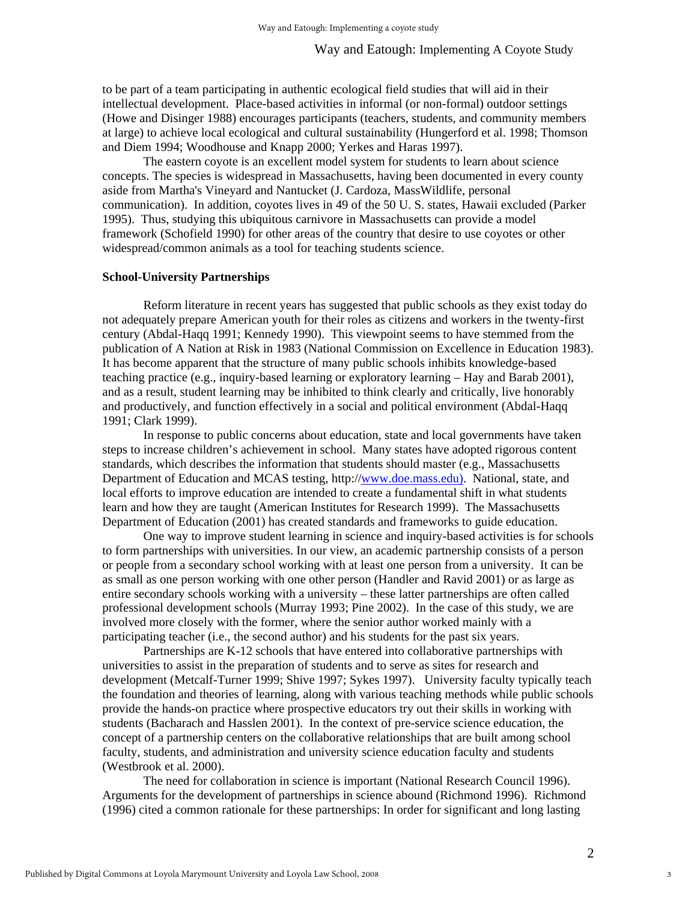to be part of a team participating in authentic ecological field studies that will aid in their intellectual development. Place-based activities in informal (or non-formal) outdoor settings (Howe and Disinger 1988) encourages participants (teachers, students, and community members at large) to achieve local ecological and cultural sustainability (Hungerford et al. 1998; Thomson and Diem 1994; Woodhouse and Knapp 2000; Yerkes and Haras 1997).

The eastern coyote is an excellent model system for students to learn about science concepts. The species is widespread in Massachusetts, having been documented in every county aside from Martha's Vineyard and Nantucket (J. Cardoza, MassWildlife, personal communication). In addition, coyotes lives in 49 of the 50 U. S. states, Hawaii excluded (Parker 1995). Thus, studying this ubiquitous carnivore in Massachusetts can provide a model framework (Schofield 1990) for other areas of the country that desire to use coyotes or other widespread/common animals as a tool for teaching students science.

#### **School-University Partnerships**

Reform literature in recent years has suggested that public schools as they exist today do not adequately prepare American youth for their roles as citizens and workers in the twenty-first century (Abdal-Haqq 1991; Kennedy 1990). This viewpoint seems to have stemmed from the publication of A Nation at Risk in 1983 (National Commission on Excellence in Education 1983). It has become apparent that the structure of many public schools inhibits knowledge-based teaching practice (e.g., inquiry-based learning or exploratory learning – Hay and Barab 2001), and as a result, student learning may be inhibited to think clearly and critically, live honorably and productively, and function effectively in a social and political environment (Abdal-Haqq 1991; Clark 1999).

In response to public concerns about education, state and local governments have taken steps to increase children's achievement in school. Many states have adopted rigorous content standards, which describes the information that students should master (e.g., Massachusetts Department of Education and MCAS testing, http://[www.doe.mass.edu\)](http://www.doe.mass.edu)/). National, state, and local efforts to improve education are intended to create a fundamental shift in what students learn and how they are taught (American Institutes for Research 1999). The Massachusetts Department of Education (2001) has created standards and frameworks to guide education.

One way to improve student learning in science and inquiry-based activities is for schools to form partnerships with universities. In our view, an academic partnership consists of a person or people from a secondary school working with at least one person from a university. It can be as small as one person working with one other person (Handler and Ravid 2001) or as large as entire secondary schools working with a university – these latter partnerships are often called professional development schools (Murray 1993; Pine 2002). In the case of this study, we are involved more closely with the former, where the senior author worked mainly with a participating teacher (i.e., the second author) and his students for the past six years.

Partnerships are K-12 schools that have entered into collaborative partnerships with universities to assist in the preparation of students and to serve as sites for research and development (Metcalf-Turner 1999; Shive 1997; Sykes 1997). University faculty typically teach the foundation and theories of learning, along with various teaching methods while public schools provide the hands-on practice where prospective educators try out their skills in working with students (Bacharach and Hasslen 2001). In the context of pre-service science education, the concept of a partnership centers on the collaborative relationships that are built among school faculty, students, and administration and university science education faculty and students (Westbrook et al. 2000).

The need for collaboration in science is important (National Research Council 1996). Arguments for the development of partnerships in science abound (Richmond 1996). Richmond (1996) cited a common rationale for these partnerships: In order for significant and long lasting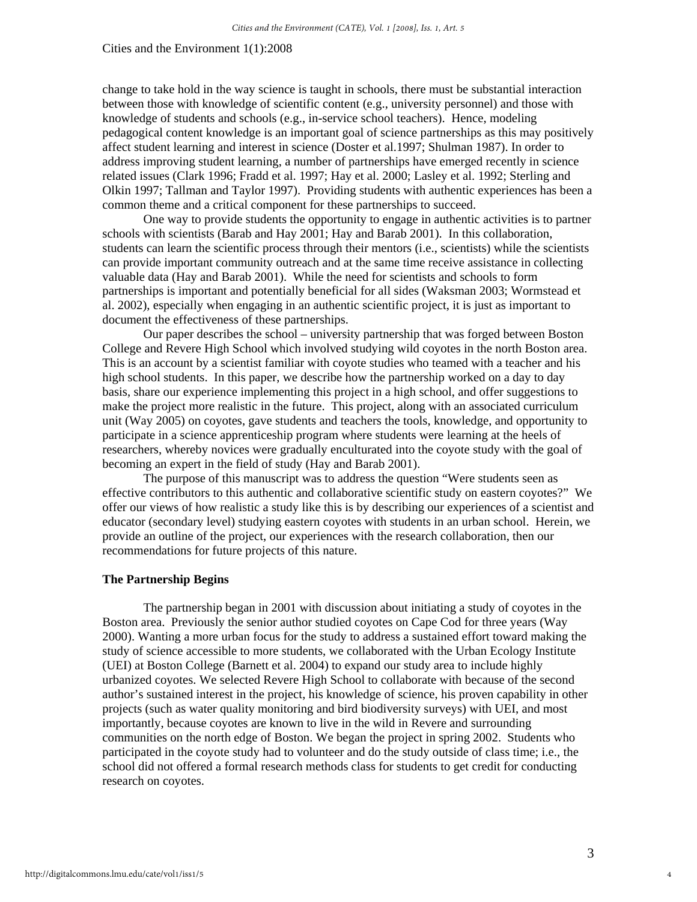change to take hold in the way science is taught in schools, there must be substantial interaction between those with knowledge of scientific content (e.g., university personnel) and those with knowledge of students and schools (e.g., in-service school teachers). Hence, modeling pedagogical content knowledge is an important goal of science partnerships as this may positively affect student learning and interest in science (Doster et al.1997; Shulman 1987). In order to address improving student learning, a number of partnerships have emerged recently in science related issues (Clark 1996; Fradd et al. 1997; Hay et al. 2000; Lasley et al. 1992; Sterling and Olkin 1997; Tallman and Taylor 1997). Providing students with authentic experiences has been a common theme and a critical component for these partnerships to succeed.

One way to provide students the opportunity to engage in authentic activities is to partner schools with scientists (Barab and Hay 2001; Hay and Barab 2001). In this collaboration, students can learn the scientific process through their mentors (i.e., scientists) while the scientists can provide important community outreach and at the same time receive assistance in collecting valuable data (Hay and Barab 2001). While the need for scientists and schools to form partnerships is important and potentially beneficial for all sides (Waksman 2003; Wormstead et al. 2002), especially when engaging in an authentic scientific project, it is just as important to document the effectiveness of these partnerships.

Our paper describes the school – university partnership that was forged between Boston College and Revere High School which involved studying wild coyotes in the north Boston area. This is an account by a scientist familiar with coyote studies who teamed with a teacher and his high school students. In this paper, we describe how the partnership worked on a day to day basis, share our experience implementing this project in a high school, and offer suggestions to make the project more realistic in the future. This project, along with an associated curriculum unit (Way 2005) on coyotes, gave students and teachers the tools, knowledge, and opportunity to participate in a science apprenticeship program where students were learning at the heels of researchers, whereby novices were gradually enculturated into the coyote study with the goal of becoming an expert in the field of study (Hay and Barab 2001).

The purpose of this manuscript was to address the question "Were students seen as effective contributors to this authentic and collaborative scientific study on eastern coyotes?" We offer our views of how realistic a study like this is by describing our experiences of a scientist and educator (secondary level) studying eastern coyotes with students in an urban school. Herein, we provide an outline of the project, our experiences with the research collaboration, then our recommendations for future projects of this nature.

#### **The Partnership Begins**

 The partnership began in 2001 with discussion about initiating a study of coyotes in the Boston area. Previously the senior author studied coyotes on Cape Cod for three years (Way 2000). Wanting a more urban focus for the study to address a sustained effort toward making the study of science accessible to more students, we collaborated with the Urban Ecology Institute (UEI) at Boston College (Barnett et al. 2004) to expand our study area to include highly urbanized coyotes. We selected Revere High School to collaborate with because of the second author's sustained interest in the project, his knowledge of science, his proven capability in other projects (such as water quality monitoring and bird biodiversity surveys) with UEI, and most importantly, because coyotes are known to live in the wild in Revere and surrounding communities on the north edge of Boston. We began the project in spring 2002. Students who participated in the coyote study had to volunteer and do the study outside of class time; i.e., the school did not offered a formal research methods class for students to get credit for conducting research on coyotes.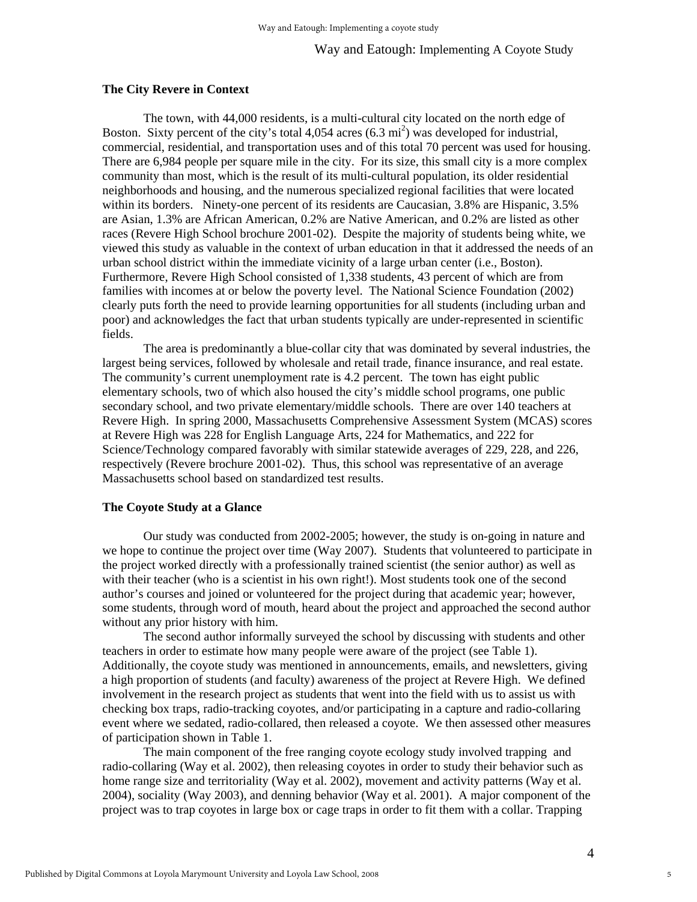Way and Eatough: Implementing A Coyote Study

#### **The City Revere in Context**

The town, with 44,000 residents, is a multi-cultural city located on the north edge of Boston. Sixty percent of the city's total  $4,054$  acres  $(6.3 \text{ mi}^2)$  was developed for industrial, commercial, residential, and transportation uses and of this total 70 percent was used for housing. There are 6,984 people per square mile in the city. For its size, this small city is a more complex community than most, which is the result of its multi-cultural population, its older residential neighborhoods and housing, and the numerous specialized regional facilities that were located within its borders. Ninety-one percent of its residents are Caucasian, 3.8% are Hispanic, 3.5% are Asian, 1.3% are African American, 0.2% are Native American, and 0.2% are listed as other races (Revere High School brochure 2001-02). Despite the majority of students being white, we viewed this study as valuable in the context of urban education in that it addressed the needs of an urban school district within the immediate vicinity of a large urban center (i.e., Boston). Furthermore, Revere High School consisted of 1,338 students, 43 percent of which are from families with incomes at or below the poverty level. The National Science Foundation (2002) clearly puts forth the need to provide learning opportunities for all students (including urban and poor) and acknowledges the fact that urban students typically are under-represented in scientific fields.

 The area is predominantly a blue-collar city that was dominated by several industries, the largest being services, followed by wholesale and retail trade, finance insurance, and real estate. The community's current unemployment rate is 4.2 percent. The town has eight public elementary schools, two of which also housed the city's middle school programs, one public secondary school, and two private elementary/middle schools. There are over 140 teachers at Revere High. In spring 2000, Massachusetts Comprehensive Assessment System (MCAS) scores at Revere High was 228 for English Language Arts, 224 for Mathematics, and 222 for Science/Technology compared favorably with similar statewide averages of 229, 228, and 226, respectively (Revere brochure 2001-02). Thus, this school was representative of an average Massachusetts school based on standardized test results.

#### **The Coyote Study at a Glance**

Our study was conducted from 2002-2005; however, the study is on-going in nature and we hope to continue the project over time (Way 2007). Students that volunteered to participate in the project worked directly with a professionally trained scientist (the senior author) as well as with their teacher (who is a scientist in his own right!). Most students took one of the second author's courses and joined or volunteered for the project during that academic year; however, some students, through word of mouth, heard about the project and approached the second author without any prior history with him.

 The second author informally surveyed the school by discussing with students and other teachers in order to estimate how many people were aware of the project (see Table 1). Additionally, the coyote study was mentioned in announcements, emails, and newsletters, giving a high proportion of students (and faculty) awareness of the project at Revere High. We defined involvement in the research project as students that went into the field with us to assist us with checking box traps, radio-tracking coyotes, and/or participating in a capture and radio-collaring event where we sedated, radio-collared, then released a coyote. We then assessed other measures of participation shown in Table 1.

 The main component of the free ranging coyote ecology study involved trapping and radio-collaring (Way et al. 2002), then releasing coyotes in order to study their behavior such as home range size and territoriality (Way et al. 2002), movement and activity patterns (Way et al. 2004), sociality (Way 2003), and denning behavior (Way et al. 2001). A major component of the project was to trap coyotes in large box or cage traps in order to fit them with a collar. Trapping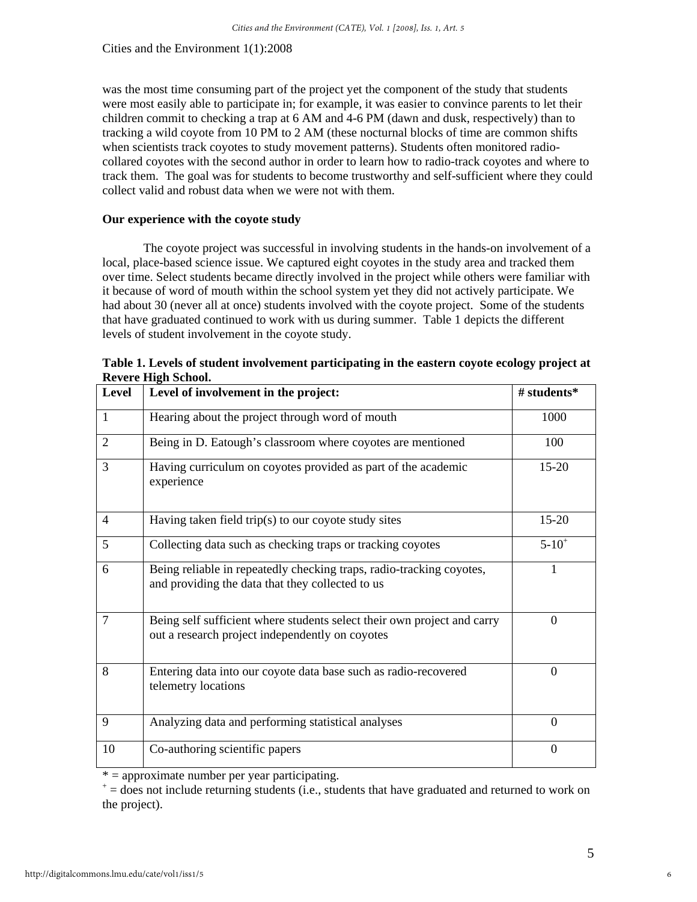was the most time consuming part of the project yet the component of the study that students were most easily able to participate in; for example, it was easier to convince parents to let their children commit to checking a trap at 6 AM and 4-6 PM (dawn and dusk, respectively) than to tracking a wild coyote from 10 PM to 2 AM (these nocturnal blocks of time are common shifts when scientists track coyotes to study movement patterns). Students often monitored radiocollared coyotes with the second author in order to learn how to radio-track coyotes and where to track them. The goal was for students to become trustworthy and self-sufficient where they could collect valid and robust data when we were not with them.

#### **Our experience with the coyote study**

The coyote project was successful in involving students in the hands-on involvement of a local, place-based science issue. We captured eight coyotes in the study area and tracked them over time. Select students became directly involved in the project while others were familiar with it because of word of mouth within the school system yet they did not actively participate. We had about 30 (never all at once) students involved with the coyote project. Some of the students that have graduated continued to work with us during summer. Table 1 depicts the different levels of student involvement in the coyote study.

| Level          | Level of involvement in the project:                                                                                       | # students*    |
|----------------|----------------------------------------------------------------------------------------------------------------------------|----------------|
| $\mathbf{1}$   | Hearing about the project through word of mouth                                                                            | 1000           |
| 2              | Being in D. Eatough's classroom where coyotes are mentioned                                                                | 100            |
| $\overline{3}$ | Having curriculum on coyotes provided as part of the academic<br>experience                                                | 15-20          |
| $\overline{4}$ | Having taken field trip(s) to our coyote study sites                                                                       | $15 - 20$      |
| 5              | Collecting data such as checking traps or tracking coyotes                                                                 | $5 - 10^{+}$   |
| 6              | Being reliable in repeatedly checking traps, radio-tracking coyotes,<br>and providing the data that they collected to us   | 1              |
| $\overline{7}$ | Being self sufficient where students select their own project and carry<br>out a research project independently on coyotes | $\theta$       |
| 8              | Entering data into our coyote data base such as radio-recovered<br>telemetry locations                                     | $\theta$       |
| 9              | Analyzing data and performing statistical analyses                                                                         | $\overline{0}$ |
| 10             | Co-authoring scientific papers                                                                                             | $\Omega$       |

**Table 1. Levels of student involvement participating in the eastern coyote ecology project at Revere High School.**

 $* =$  approximate number per year participating.

 $t^+$  = does not include returning students (i.e., students that have graduated and returned to work on the project).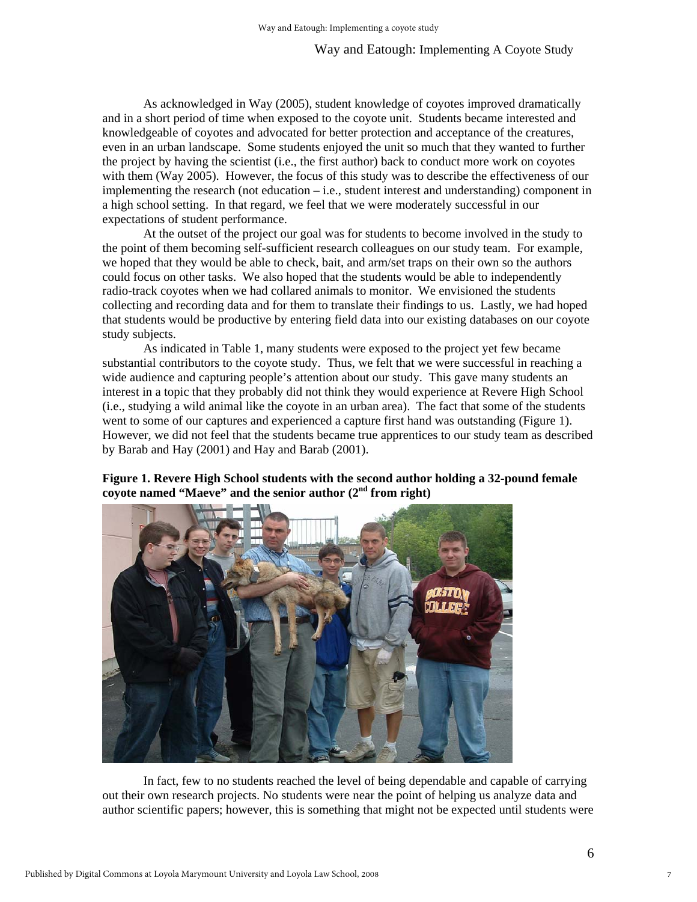#### Way and Eatough: Implementing A Coyote Study

 As acknowledged in Way (2005), student knowledge of coyotes improved dramatically and in a short period of time when exposed to the coyote unit. Students became interested and knowledgeable of coyotes and advocated for better protection and acceptance of the creatures, even in an urban landscape. Some students enjoyed the unit so much that they wanted to further the project by having the scientist (i.e., the first author) back to conduct more work on coyotes with them (Way 2005). However, the focus of this study was to describe the effectiveness of our implementing the research (not education – i.e., student interest and understanding) component in a high school setting. In that regard, we feel that we were moderately successful in our expectations of student performance.

 At the outset of the project our goal was for students to become involved in the study to the point of them becoming self-sufficient research colleagues on our study team. For example, we hoped that they would be able to check, bait, and arm/set traps on their own so the authors could focus on other tasks. We also hoped that the students would be able to independently radio-track coyotes when we had collared animals to monitor. We envisioned the students collecting and recording data and for them to translate their findings to us. Lastly, we had hoped that students would be productive by entering field data into our existing databases on our coyote study subjects.

 As indicated in Table 1, many students were exposed to the project yet few became substantial contributors to the coyote study. Thus, we felt that we were successful in reaching a wide audience and capturing people's attention about our study. This gave many students an interest in a topic that they probably did not think they would experience at Revere High School (i.e., studying a wild animal like the coyote in an urban area). The fact that some of the students went to some of our captures and experienced a capture first hand was outstanding (Figure 1). However, we did not feel that the students became true apprentices to our study team as described by Barab and Hay (2001) and Hay and Barab (2001).

**Figure 1. Revere High School students with the second author holding a 32-pound female coyote named "Maeve" and the senior author (2nd from right)** 

 In fact, few to no students reached the level of being dependable and capable of carrying out their own research projects. No students were near the point of helping us analyze data and author scientific papers; however, this is something that might not be expected until students were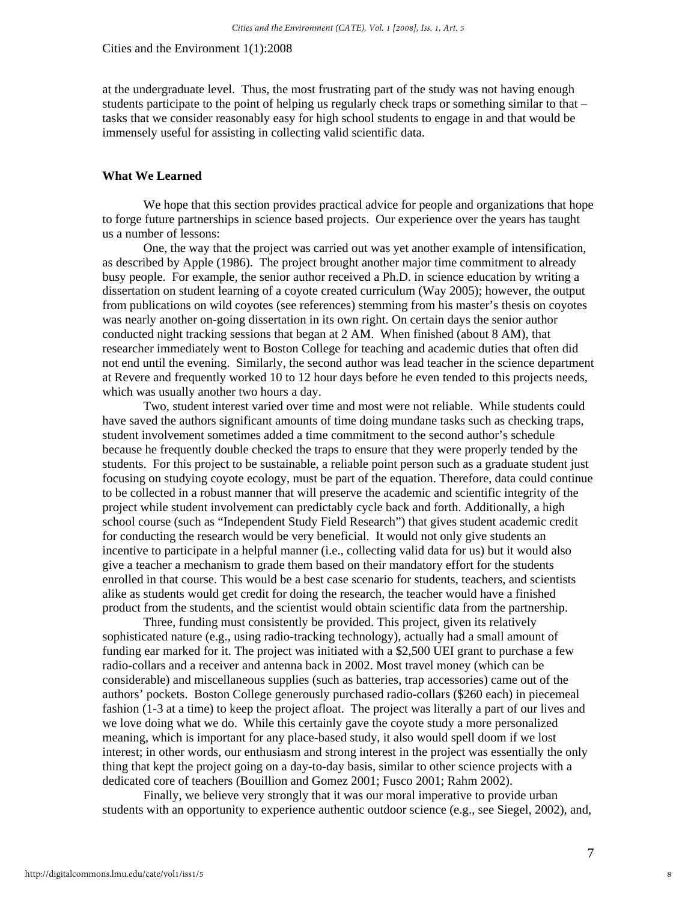at the undergraduate level. Thus, the most frustrating part of the study was not having enough students participate to the point of helping us regularly check traps or something similar to that – tasks that we consider reasonably easy for high school students to engage in and that would be immensely useful for assisting in collecting valid scientific data.

#### **What We Learned**

 We hope that this section provides practical advice for people and organizations that hope to forge future partnerships in science based projects. Our experience over the years has taught us a number of lessons:

 One, the way that the project was carried out was yet another example of intensification, as described by Apple (1986). The project brought another major time commitment to already busy people. For example, the senior author received a Ph.D. in science education by writing a dissertation on student learning of a coyote created curriculum (Way 2005); however, the output from publications on wild coyotes (see references) stemming from his master's thesis on coyotes was nearly another on-going dissertation in its own right. On certain days the senior author conducted night tracking sessions that began at 2 AM. When finished (about 8 AM), that researcher immediately went to Boston College for teaching and academic duties that often did not end until the evening. Similarly, the second author was lead teacher in the science department at Revere and frequently worked 10 to 12 hour days before he even tended to this projects needs, which was usually another two hours a day.

 Two, student interest varied over time and most were not reliable. While students could have saved the authors significant amounts of time doing mundane tasks such as checking traps, student involvement sometimes added a time commitment to the second author's schedule because he frequently double checked the traps to ensure that they were properly tended by the students. For this project to be sustainable, a reliable point person such as a graduate student just focusing on studying coyote ecology, must be part of the equation. Therefore, data could continue to be collected in a robust manner that will preserve the academic and scientific integrity of the project while student involvement can predictably cycle back and forth. Additionally, a high school course (such as "Independent Study Field Research") that gives student academic credit for conducting the research would be very beneficial. It would not only give students an incentive to participate in a helpful manner (i.e., collecting valid data for us) but it would also give a teacher a mechanism to grade them based on their mandatory effort for the students enrolled in that course. This would be a best case scenario for students, teachers, and scientists alike as students would get credit for doing the research, the teacher would have a finished product from the students, and the scientist would obtain scientific data from the partnership.

 Three, funding must consistently be provided. This project, given its relatively sophisticated nature (e.g., using radio-tracking technology), actually had a small amount of funding ear marked for it. The project was initiated with a \$2,500 UEI grant to purchase a few radio-collars and a receiver and antenna back in 2002. Most travel money (which can be considerable) and miscellaneous supplies (such as batteries, trap accessories) came out of the authors' pockets. Boston College generously purchased radio-collars (\$260 each) in piecemeal fashion (1-3 at a time) to keep the project afloat. The project was literally a part of our lives and we love doing what we do. While this certainly gave the coyote study a more personalized meaning, which is important for any place-based study, it also would spell doom if we lost interest; in other words, our enthusiasm and strong interest in the project was essentially the only thing that kept the project going on a day-to-day basis, similar to other science projects with a dedicated core of teachers (Bouillion and Gomez 2001; Fusco 2001; Rahm 2002).

 Finally, we believe very strongly that it was our moral imperative to provide urban students with an opportunity to experience authentic outdoor science (e.g., see Siegel, 2002), and,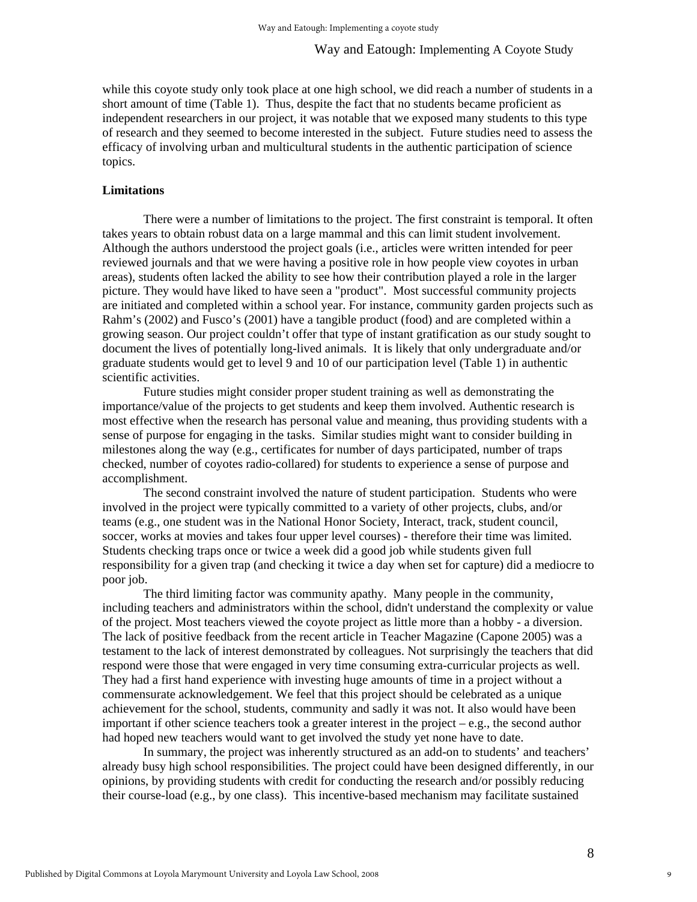while this coyote study only took place at one high school, we did reach a number of students in a short amount of time (Table 1). Thus, despite the fact that no students became proficient as independent researchers in our project, it was notable that we exposed many students to this type of research and they seemed to become interested in the subject. Future studies need to assess the efficacy of involving urban and multicultural students in the authentic participation of science topics.

#### **Limitations**

 There were a number of limitations to the project. The first constraint is temporal. It often takes years to obtain robust data on a large mammal and this can limit student involvement. Although the authors understood the project goals (i.e., articles were written intended for peer reviewed journals and that we were having a positive role in how people view coyotes in urban areas), students often lacked the ability to see how their contribution played a role in the larger picture. They would have liked to have seen a "product". Most successful community projects are initiated and completed within a school year. For instance, community garden projects such as Rahm's (2002) and Fusco's (2001) have a tangible product (food) and are completed within a growing season. Our project couldn't offer that type of instant gratification as our study sought to document the lives of potentially long-lived animals. It is likely that only undergraduate and/or graduate students would get to level 9 and 10 of our participation level (Table 1) in authentic scientific activities.

 Future studies might consider proper student training as well as demonstrating the importance/value of the projects to get students and keep them involved. Authentic research is most effective when the research has personal value and meaning, thus providing students with a sense of purpose for engaging in the tasks. Similar studies might want to consider building in milestones along the way (e.g., certificates for number of days participated, number of traps checked, number of coyotes radio-collared) for students to experience a sense of purpose and accomplishment.

The second constraint involved the nature of student participation. Students who were involved in the project were typically committed to a variety of other projects, clubs, and/or teams (e.g., one student was in the National Honor Society, Interact, track, student council, soccer, works at movies and takes four upper level courses) - therefore their time was limited. Students checking traps once or twice a week did a good job while students given full responsibility for a given trap (and checking it twice a day when set for capture) did a mediocre to poor job.

 The third limiting factor was community apathy. Many people in the community, including teachers and administrators within the school, didn't understand the complexity or value of the project. Most teachers viewed the coyote project as little more than a hobby - a diversion. The lack of positive feedback from the recent article in Teacher Magazine (Capone 2005) was a testament to the lack of interest demonstrated by colleagues. Not surprisingly the teachers that did respond were those that were engaged in very time consuming extra-curricular projects as well. They had a first hand experience with investing huge amounts of time in a project without a commensurate acknowledgement. We feel that this project should be celebrated as a unique achievement for the school, students, community and sadly it was not. It also would have been important if other science teachers took a greater interest in the project – e.g., the second author had hoped new teachers would want to get involved the study yet none have to date.

 In summary, the project was inherently structured as an add-on to students' and teachers' already busy high school responsibilities. The project could have been designed differently, in our opinions, by providing students with credit for conducting the research and/or possibly reducing their course-load (e.g., by one class). This incentive-based mechanism may facilitate sustained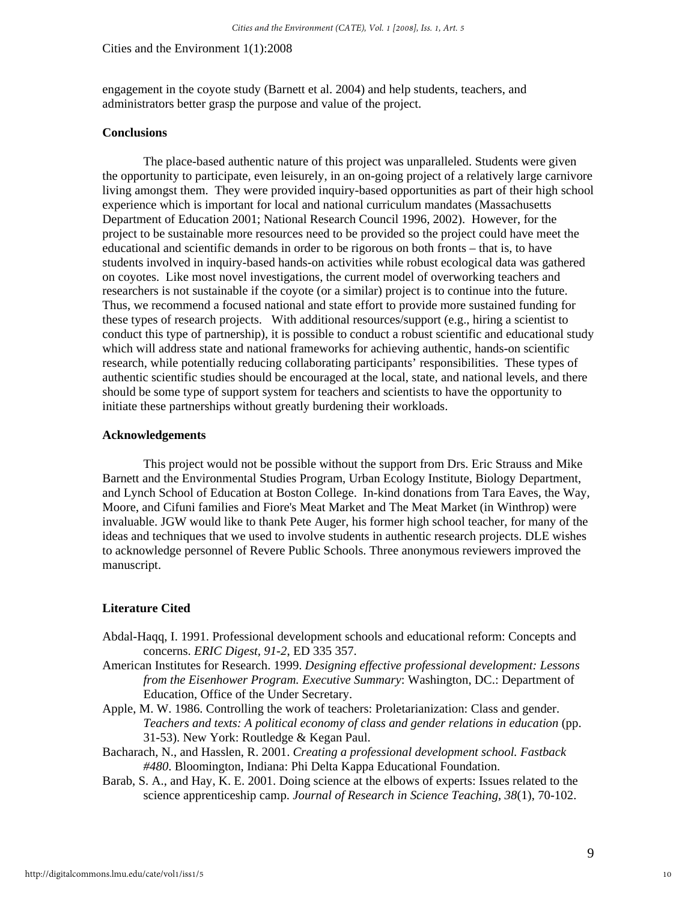engagement in the coyote study (Barnett et al. 2004) and help students, teachers, and administrators better grasp the purpose and value of the project.

#### **Conclusions**

 The place-based authentic nature of this project was unparalleled. Students were given the opportunity to participate, even leisurely, in an on-going project of a relatively large carnivore living amongst them. They were provided inquiry-based opportunities as part of their high school experience which is important for local and national curriculum mandates (Massachusetts Department of Education 2001; National Research Council 1996, 2002). However, for the project to be sustainable more resources need to be provided so the project could have meet the educational and scientific demands in order to be rigorous on both fronts – that is, to have students involved in inquiry-based hands-on activities while robust ecological data was gathered on coyotes. Like most novel investigations, the current model of overworking teachers and researchers is not sustainable if the coyote (or a similar) project is to continue into the future. Thus, we recommend a focused national and state effort to provide more sustained funding for these types of research projects. With additional resources/support (e.g., hiring a scientist to conduct this type of partnership), it is possible to conduct a robust scientific and educational study which will address state and national frameworks for achieving authentic, hands-on scientific research, while potentially reducing collaborating participants' responsibilities. These types of authentic scientific studies should be encouraged at the local, state, and national levels, and there should be some type of support system for teachers and scientists to have the opportunity to initiate these partnerships without greatly burdening their workloads.

#### **Acknowledgements**

 This project would not be possible without the support from Drs. Eric Strauss and Mike Barnett and the Environmental Studies Program, Urban Ecology Institute, Biology Department, and Lynch School of Education at Boston College. In-kind donations from Tara Eaves, the Way, Moore, and Cifuni families and Fiore's Meat Market and The Meat Market (in Winthrop) were invaluable. JGW would like to thank Pete Auger, his former high school teacher, for many of the ideas and techniques that we used to involve students in authentic research projects. DLE wishes to acknowledge personnel of Revere Public Schools. Three anonymous reviewers improved the manuscript.

#### **Literature Cited**

- Abdal-Haqq, I. 1991. Professional development schools and educational reform: Concepts and concerns. *ERIC Digest, 91-2*, ED 335 357.
- American Institutes for Research. 1999. *Designing effective professional development: Lessons from the Eisenhower Program. Executive Summary*: Washington, DC.: Department of Education, Office of the Under Secretary.
- Apple, M. W. 1986. Controlling the work of teachers: Proletarianization: Class and gender. *Teachers and texts: A political economy of class and gender relations in education* (pp. 31-53). New York: Routledge & Kegan Paul.
- Bacharach, N., and Hasslen, R. 2001. *Creating a professional development school. Fastback #480*. Bloomington, Indiana: Phi Delta Kappa Educational Foundation.
- Barab, S. A., and Hay, K. E. 2001. Doing science at the elbows of experts: Issues related to the science apprenticeship camp. *Journal of Research in Science Teaching, 38*(1), 70-102.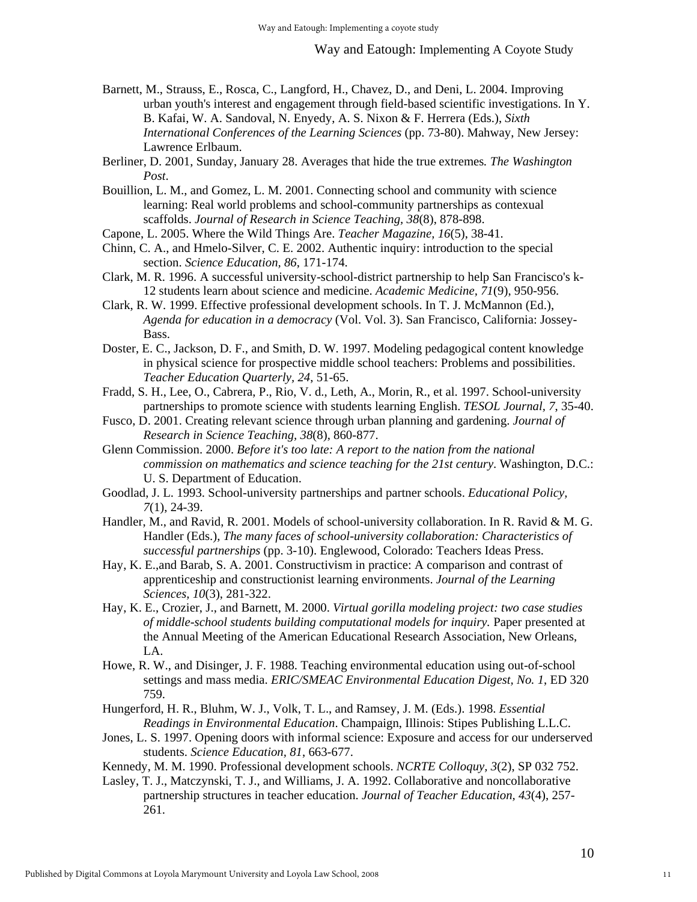- Barnett, M., Strauss, E., Rosca, C., Langford, H., Chavez, D., and Deni, L. 2004. Improving urban youth's interest and engagement through field-based scientific investigations. In Y. B. Kafai, W. A. Sandoval, N. Enyedy, A. S. Nixon & F. Herrera (Eds.), *Sixth International Conferences of the Learning Sciences* (pp. 73-80). Mahway, New Jersey: Lawrence Erlbaum.
- Berliner, D. 2001, Sunday, January 28. Averages that hide the true extremes*. The Washington Post*.
- Bouillion, L. M., and Gomez, L. M. 2001. Connecting school and community with science learning: Real world problems and school-community partnerships as contexual scaffolds. *Journal of Research in Science Teaching, 38*(8), 878-898.
- Capone, L. 2005. Where the Wild Things Are. *Teacher Magazine, 16*(5), 38-41.
- Chinn, C. A., and Hmelo-Silver, C. E. 2002. Authentic inquiry: introduction to the special section. *Science Education, 86*, 171-174.
- Clark, M. R. 1996. A successful university-school-district partnership to help San Francisco's k-12 students learn about science and medicine. *Academic Medicine, 71*(9), 950-956.
- Clark, R. W. 1999. Effective professional development schools. In T. J. McMannon (Ed.), *Agenda for education in a democracy* (Vol. Vol. 3). San Francisco, California: Jossey-Bass.
- Doster, E. C., Jackson, D. F., and Smith, D. W. 1997. Modeling pedagogical content knowledge in physical science for prospective middle school teachers: Problems and possibilities. *Teacher Education Quarterly, 24*, 51-65.
- Fradd, S. H., Lee, O., Cabrera, P., Rio, V. d., Leth, A., Morin, R., et al. 1997. School-university partnerships to promote science with students learning English. *TESOL Journal, 7*, 35-40.
- Fusco, D. 2001. Creating relevant science through urban planning and gardening. *Journal of Research in Science Teaching, 38*(8), 860-877.
- Glenn Commission. 2000. *Before it's too late: A report to the nation from the national commission on mathematics and science teaching for the 21st century*. Washington, D.C.: U. S. Department of Education.
- Goodlad, J. L. 1993. School-university partnerships and partner schools. *Educational Policy, 7*(1), 24-39.
- Handler, M., and Ravid, R. 2001. Models of school-university collaboration. In R. Ravid & M. G. Handler (Eds.), *The many faces of school-university collaboration: Characteristics of successful partnerships* (pp. 3-10). Englewood, Colorado: Teachers Ideas Press.
- Hay, K. E.,and Barab, S. A. 2001. Constructivism in practice: A comparison and contrast of apprenticeship and constructionist learning environments. *Journal of the Learning Sciences, 10*(3), 281-322.
- Hay, K. E., Crozier, J., and Barnett, M. 2000. *Virtual gorilla modeling project: two case studies of middle-school students building computational models for inquiry.* Paper presented at the Annual Meeting of the American Educational Research Association, New Orleans, LA.
- Howe, R. W., and Disinger, J. F. 1988. Teaching environmental education using out-of-school settings and mass media. *ERIC/SMEAC Environmental Education Digest, No. 1*, ED 320 759.
- Hungerford, H. R., Bluhm, W. J., Volk, T. L., and Ramsey, J. M. (Eds.). 1998. *Essential Readings in Environmental Education*. Champaign, Illinois: Stipes Publishing L.L.C.
- Jones, L. S. 1997. Opening doors with informal science: Exposure and access for our underserved students. *Science Education, 81*, 663-677.
- Kennedy, M. M. 1990. Professional development schools. *NCRTE Colloquy, 3*(2), SP 032 752.
- Lasley, T. J., Matczynski, T. J., and Williams, J. A. 1992. Collaborative and noncollaborative partnership structures in teacher education. *Journal of Teacher Education, 43*(4), 257- 261.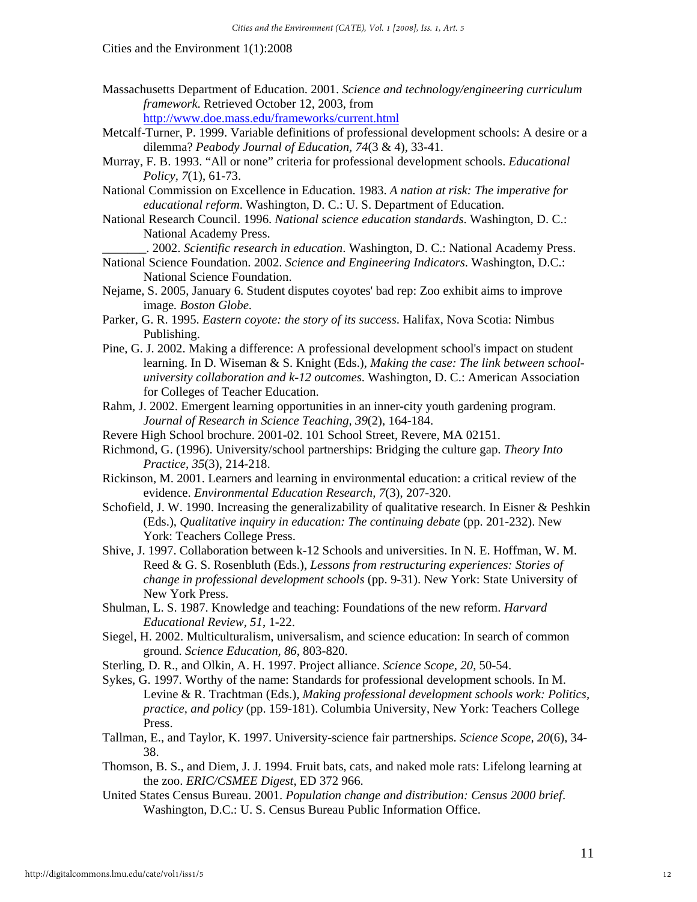- Massachusetts Department of Education. 2001. *Science and technology/engineering curriculum framework*. Retrieved October 12, 2003, from <http://www.doe.mass.edu/frameworks/current.html>
- Metcalf-Turner, P. 1999. Variable definitions of professional development schools: A desire or a dilemma? *Peabody Journal of Education, 74*(3 & 4), 33-41.
- Murray, F. B. 1993. "All or none" criteria for professional development schools. *Educational Policy, 7*(1), 61-73.
- National Commission on Excellence in Education. 1983. *A nation at risk: The imperative for educational reform*. Washington, D. C.: U. S. Department of Education.
- National Research Council. 1996. *National science education standards*. Washington, D. C.: National Academy Press.
	- \_\_\_\_\_\_\_. 2002. *Scientific research in education*. Washington, D. C.: National Academy Press.
- National Science Foundation. 2002. *Science and Engineering Indicators*. Washington, D.C.: National Science Foundation.
- Nejame, S. 2005, January 6. Student disputes coyotes' bad rep: Zoo exhibit aims to improve image*. Boston Globe*.
- Parker, G. R. 1995. *Eastern coyote: the story of its success*. Halifax, Nova Scotia: Nimbus Publishing.
- Pine, G. J. 2002. Making a difference: A professional development school's impact on student learning. In D. Wiseman & S. Knight (Eds.), *Making the case: The link between schooluniversity collaboration and k-12 outcomes*. Washington, D. C.: American Association for Colleges of Teacher Education.
- Rahm, J. 2002. Emergent learning opportunities in an inner-city youth gardening program. *Journal of Research in Science Teaching, 39*(2), 164-184.
- Revere High School brochure. 2001-02. 101 School Street, Revere, MA 02151.
- Richmond, G. (1996). University/school partnerships: Bridging the culture gap. *Theory Into Practice, 35*(3), 214-218.
- Rickinson, M. 2001. Learners and learning in environmental education: a critical review of the evidence. *Environmental Education Research, 7*(3), 207-320.
- Schofield, J. W. 1990. Increasing the generalizability of qualitative research. In Eisner & Peshkin (Eds.), *Qualitative inquiry in education: The continuing debate* (pp. 201-232). New York: Teachers College Press.
- Shive, J. 1997. Collaboration between k-12 Schools and universities. In N. E. Hoffman, W. M. Reed & G. S. Rosenbluth (Eds.), *Lessons from restructuring experiences: Stories of change in professional development schools* (pp. 9-31). New York: State University of New York Press.
- Shulman, L. S. 1987. Knowledge and teaching: Foundations of the new reform. *Harvard Educational Review, 51*, 1-22.
- Siegel, H. 2002. Multiculturalism, universalism, and science education: In search of common ground. *Science Education, 86*, 803-820.
- Sterling, D. R., and Olkin, A. H. 1997. Project alliance. *Science Scope, 20*, 50-54.
- Sykes, G. 1997. Worthy of the name: Standards for professional development schools. In M. Levine & R. Trachtman (Eds.), *Making professional development schools work: Politics, practice, and policy* (pp. 159-181). Columbia University, New York: Teachers College Press.
- Tallman, E., and Taylor, K. 1997. University-science fair partnerships. *Science Scope, 20*(6), 34- 38.
- Thomson, B. S., and Diem, J. J. 1994. Fruit bats, cats, and naked mole rats: Lifelong learning at the zoo. *ERIC/CSMEE Digest*, ED 372 966.
- United States Census Bureau. 2001. *Population change and distribution: Census 2000 brief*. Washington, D.C.: U. S. Census Bureau Public Information Office.